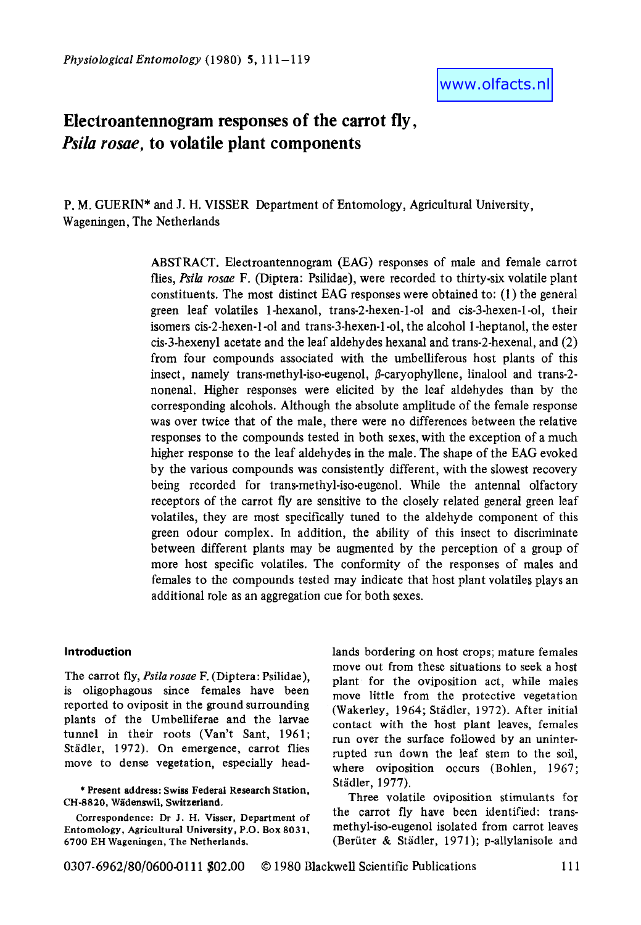# **Electroantennogram responses of the carrot fly,**  *Psila rosae,* **to volatile plant components**

P. M. GUERIN\* and J. H. **VISSER** Department of Entomology, Agricultural University, Wageningen, The Netherlands

> ABSTRACT. Electroantennogram (EAG) responses of male and female carrot flies, *Psila rosae* F. (Diptera: Psilidae), were recorded to thirty-six volatile plant constituents. The most distinct EAG responses were obtained to: **(1)** the general green leaf volatiles 1 -hexanol, trans-2-hexen-1-01 and cis-3-hexen-1 -01, their isomers cis-2-hexen-1 -01 and trans-3-hexen-1 -01, the alcohol 1 -heptanol, the ester cis-3-hexenyl acetate and the leaf aldehydes hexanal and trans-2-hexenal, and (2) from four compounds associated with the umbelliferous host plants of this insect, namely trans-methyl-iso-eugenol,  $\beta$ -caryophyllene, linalool and trans-2nonenal. Higher responses were elicited by the leaf aldehydes than by the corresponding alcohols. Although the absolute amplitude of the female response was over twice that of the male, there were no differences between the relative responses to the compounds tested in both sexes, with the exception of a much higher response to the leaf aldehydes in the male. The shape of the EAG evoked by the various compounds was consistently different, with the slowest recovery being recorded for trans-methyl-iso-eugenol. While the antenna1 olfactory receptors of the carrot fly are sensitive to the closely related general green leaf volatiles, they are most specifically tuned to the aldehyde component of this green odour complex. In addition, the ability of this insect to discriminate between different plants may be augmented by the perception of a group of more host specific volatiles. The conformity of the responses of males and females to the compounds tested may indicate that host plant volatiles plays an additional role as an aggregation cue for both sexes.

# **Introduction**

The carrot fly, *Psila rosae* F. (Diptera: Psilidae), is oligophagous since females have been reported to oviposit in the ground surrounding plants of the Umbelliferae and the larvae tunnel in their roots (Van't Sant, 1961; Städler, 1972). On emergence, carrot flies move to dense vegetation, especially head-

\* **Present address: Swiss Federal Research Station, CH-8820, Wadenswil, Switzerland.** 

**Correspondence: Dr J. H. Visser, Department of Entomology, Agricultural University, P.O. Box 8031, 6700 EH Wageningen, The Netherlands.** 

lands bordering on host crops; mature females move out from these situations to seek **a** host plant for the oviposition act, while males move little from the protective vegetation (Wakerley, 1964; Stadler, 1972). After initial contact with the host plant leaves, females run over the surface followed by an uninterrupted **run** down the leaf stem to the **soil,**  where oviposition occurs (Bohlen, 1967; Stadler, 1977).

Three volatile oviposition stimulants for the carrot fly have been identified: transmethyl-iso-eugenol isolated from carrot leaves (Beruter & Stadler, 197 **1);** p-allylanisole and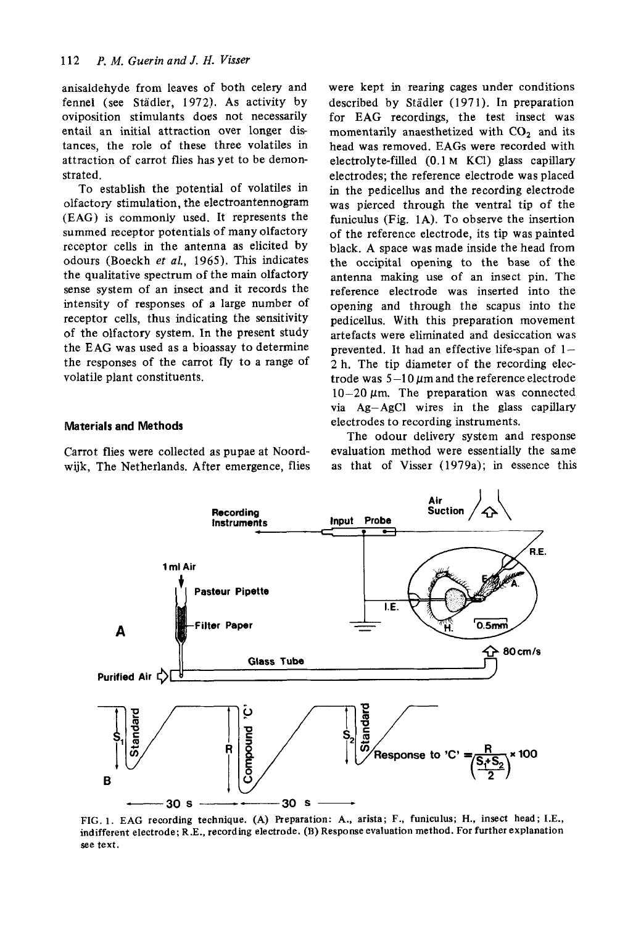anisaldehyde from leaves of both celery and fennel (see Städler, 1972). As activity by oviposition stimulants does not necessarily entail an initial attraction over longer distances, the role of these three volatiles in attraction of carrot flies has yet to be demonstrated.

To establish the potential of volatiles in olfactory stimulation, the electroantennogram **(EAG)** is commonly used. It represents the summed receptor potentials of many olfactory receptor cells in the antenna as elicited by odours (Boeckh *et al.,* 1965). This indicates the qualitative spectrum of the main olfactory sense system of an insect and it records the intensity of responses of a large number of receptor cells, thus indicating the sensitivity of the olfactory system. In the present study the EAG was used as a bioassay to determine the responses of the carrot fly to a range of volatile plant constituents.

## **Materials and Methods**

Carrot flies were collected as pupae at Noord**wijk,** The Netherlands. After emergence, flies were kept in rearing cages under conditions described by Städler (1971). In preparation for EAG recordings, the test insect was momentarily anaesthetized with CO<sub>2</sub> and its head was removed. EAGs were recorded with electrolyte-filled (0.1 **M** KC1) glass capillary electrodes; the reference electrode was placed in the pedicellus and the recording electrode was pierced through the ventral tip of the funiculus (Fig. **1A).** To observe the insertion of the reference electrode, its tip was painted black. A space was made inside the head from the occipital opening to the base of the antenna making use of an insect pin. The reference electrode was inserted into the opening and through the scapus into the pedicellus. With this preparation movement artefacts were eliminated and desiccation was prevented. It had an effective life-span of  $1-$ 2 h. The tip diameter of the recording electrode was  $5-10 \mu m$  and the reference electrode  $10-20 \mu$ m. The preparation was connected via Ag-AgC1 wires in the glass capillary electrodes to recording instruments.

The odour delivery system and response evaluation method were essentially the same as that of Visser (1979a); in essence this



**FIG. 1. EAG recording technique. (A) Preparation: A., arista; F., funiculus; H., insect head; I.E., indifferent electrode; R.E., recording electrode. (B) Response evaluation method. For further explanation**  *see* **text.**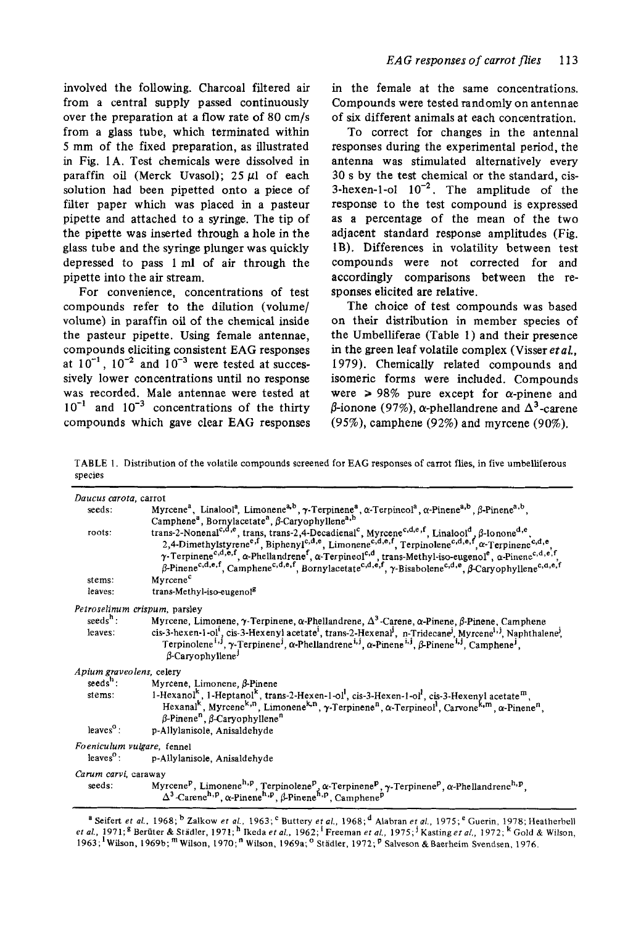involved the following. Charcoal filtered air from a central supply passed continuously over the preparation at a flow rate of 80 cm/s from a glass tube, which terminated within 5 mm of the fixed preparation, as illustrated in **Fig.** 1A. Test chemicals were dissolved in paraffin oil (Merck Uvasol); *25* pl of each solution had been pipetted onto **a** piece of filter paper which was placed in a pasteur pipette and attached to a syringe. The tip of the pipette was inserted through a hole in the glass tube and the syringe plunger was quickly depressed to pass 1 ml of air through the pipette into the air stream.

For convenience, concentrations of test compounds refer to the dilution (volume/ volume) in paraffin oil of the chemical inside the pasteur pipette. Using female antennae, compounds eliciting consistent EAG responses at  $10^{-1}$ ,  $10^{-2}$  and  $10^{-3}$  were tested at successively lower concentrations until no response was recorded. Male antennae were tested at  $10^{-1}$  and  $10^{-3}$  concentrations of the thirty compounds which gave clear **EAG** responses in the female at the same concentrations. Compounds were tested randomly on antennae of six different animals at each concentration.

To correct for changes in the antenna1 responses during the experimental period, the antenna was stimulated alternatively every **30** s by the test chemical or the standard, cis-3-hexen-1-ol  $10^{-2}$ . The amplitude of the response to the test compound is expressed as *a* percentage of the mean of the two adjacent standard response amplitudes **(Fig.**  1B). Differences in volatility between test compounds were not corrected for and accordingly comparisons between the responses elicited are relative.

The choice of test compounds was based on their distribution in member species of the Umbelliferae (Table 1) and their presence in the green leaf volatile complex (Visser *etal.*  1979). Chemically related compounds and isomeric forms were included. Compounds were  $\ge 98\%$  pure except for  $\alpha$ -pinene and β-ionone (97%), α-phellandrene and  $Δ^3$ -carene (95%), camphene (92%) and myrcene (90%).

TABLE 1. Distribution of the volatile compounds screened for EAG responses *of* carrot **flies,** in five umbelliferous species

| Daucus carota, carrot      |                                                                                                                                                                                                                                                                                                                                                                                                                                                                                                                                                                                                             |  |  |  |  |
|----------------------------|-------------------------------------------------------------------------------------------------------------------------------------------------------------------------------------------------------------------------------------------------------------------------------------------------------------------------------------------------------------------------------------------------------------------------------------------------------------------------------------------------------------------------------------------------------------------------------------------------------------|--|--|--|--|
| seeds:                     | Myrcene <sup>a</sup> , Linalool <sup>a</sup> , Limonene <sup>a,b</sup> , $\gamma$ -Terpinene <sup>a</sup> , $\alpha$ -Terpineol <sup>a</sup> , $\alpha$ -Pinene <sup>a,b</sup> , $\beta$ -Pinene <sup>a,b</sup> ,                                                                                                                                                                                                                                                                                                                                                                                           |  |  |  |  |
|                            | Camphene <sup>a</sup> , Bornylacetate <sup>a</sup> , $\beta$ -Caryophyllene <sup>a,b</sup>                                                                                                                                                                                                                                                                                                                                                                                                                                                                                                                  |  |  |  |  |
| roots:                     | trans-2-Nonenal <sup>c,d,e</sup> , trans, trans-2,4-Decadienal <sup>c</sup> , Myrcene <sup>c,d,e,f</sup> , Linalool <sup>d</sup> , β-Ionone <sup>d,e</sup> ,<br>2,4-Dimethylstyrene <sup>e,f</sup> , Biphenyl <sup>c,d,e</sup> , Limonene <sup>c,d,e,f</sup> , Terpinolene <sup>c,d,e,f</sup> , a-Terpinene <sup>c,d,e</sup><br>$\gamma$ -Terpinene <sup>c,d,e,f</sup> , $\alpha$ -Phellandrene <sup>f</sup> , $\alpha$ -Terpineol <sup>c,d</sup> , trans-Methyl-iso-eugenol <sup>e</sup> , $\alpha$ -Pinene <sup>c,d,e,f</sup> , $\beta$ -Pinene <sup>c,d,e,f</sup> , $\beta$ -Pinene <sup>c,d,e,f</sup> , |  |  |  |  |
| stems:                     | Myrcene <sup>c</sup>                                                                                                                                                                                                                                                                                                                                                                                                                                                                                                                                                                                        |  |  |  |  |
| leaves:                    | trans-Methyl-iso-eugenol <sup>g</sup>                                                                                                                                                                                                                                                                                                                                                                                                                                                                                                                                                                       |  |  |  |  |
|                            | Petroselinum crispum, parsley                                                                                                                                                                                                                                                                                                                                                                                                                                                                                                                                                                               |  |  |  |  |
| $seedsh$ :                 | Myrcene, Limonene, γ-Terpinene, α-Phellandrene, $\Delta^3$ -Carene, α-Pinene, β-Pinene, Camphene                                                                                                                                                                                                                                                                                                                                                                                                                                                                                                            |  |  |  |  |
| leaves:                    | cis-3-hexen-1-ol <sup>1</sup> , cis-3-Hexenyl acetate <sup>1</sup> , trans-2-Hexenal <sup>1</sup> , n-Tridecane <sup>1</sup> , Myrcene <sup>1, 1</sup> , Naphthalene <sup>1</sup> ,<br>Terpinolene <sup>i,j</sup> , γ-Terpinene <sup>j</sup> , α-Phellandrene <sup>i,j</sup> , α-Pinene <sup>i,j</sup> , β-Pinene <sup>i,j</sup> , Camphene <sup>j</sup> ,<br>$\beta$ -Caryophyllene <sup>1</sup>                                                                                                                                                                                                           |  |  |  |  |
| Apium graveolens, celery   |                                                                                                                                                                                                                                                                                                                                                                                                                                                                                                                                                                                                             |  |  |  |  |
| $seedsh$ :                 | Myrcene, Limonene, ß-Pinene                                                                                                                                                                                                                                                                                                                                                                                                                                                                                                                                                                                 |  |  |  |  |
| stems:                     | 1-Hexanol <sup>k</sup> , 1-Heptanol <sup>k</sup> , trans-2-Hexen-1-ol <sup>1</sup> , cis-3-Hexen-1-ol <sup>1</sup> , cis-3-Hexenyl acetate <sup>m</sup> ,<br>Hexanal <sup>k</sup> , Myrcene <sup>k,n</sup> , Limonene <sup>k,n</sup> , $\gamma$ -Terpinene <sup>n</sup> , $\alpha$ -Terpineol <sup>1</sup> , Carvone <sup>k,m</sup> , $\alpha$ -Pinene <sup>n</sup> ,<br>$\beta$ -Pinene <sup>n</sup> , $\beta$ -Caryophyllene <sup>n</sup>                                                                                                                                                                 |  |  |  |  |
| leaves $^{\circ}$ :        | p-Allylanisole, Anisaldehyde                                                                                                                                                                                                                                                                                                                                                                                                                                                                                                                                                                                |  |  |  |  |
| Foeniculum vulgare, fennel |                                                                                                                                                                                                                                                                                                                                                                                                                                                                                                                                                                                                             |  |  |  |  |
| $leaveso$ :                | p-Allylanisole, Anisaldehyde                                                                                                                                                                                                                                                                                                                                                                                                                                                                                                                                                                                |  |  |  |  |
| Carum carvi, caraway       |                                                                                                                                                                                                                                                                                                                                                                                                                                                                                                                                                                                                             |  |  |  |  |
| seeds:                     | Myrcene <sup>P</sup> , Limonene <sup>h, P</sup> , Terpinolene <sup>P</sup> , α-Terpinene <sup>P</sup> , γ-Terpinene <sup>P</sup> , α-Phellandrene <sup>h, P</sup> ,<br>$\Delta^3$ -Carene <sup>h, p</sup> , $\alpha$ -Pinene <sup>h, p</sup> , $\beta$ -Pinene <sup>h, p</sup> , Camphene <sup>p</sup>                                                                                                                                                                                                                                                                                                      |  |  |  |  |

**<sup>a</sup>**Seifert **et** *aL.* 1968; Zalkow et *al..* 1963; Buttery et *al.,* 1968;d Alahran *et al.,* 1975;e Guerin, 1978; Heatherbell et al., 1971;<sup>g</sup> Berüter & Städler, 1971;<sup>h</sup> Ikeda et al., 1962;<sup>1</sup> Freeman et al., 1975;<sup>1</sup>Kasting et al., 1972;<sup>k</sup> Gold & Wilson, 1963;<sup>1</sup> Wilson, 1969b;<sup>m</sup> Wilson, 1970;<sup>n</sup> Wilson, 1969a;<sup>o</sup> Städler, 1972;<sup>p</sup> Salveson & Baerheim Svendsen, 1976.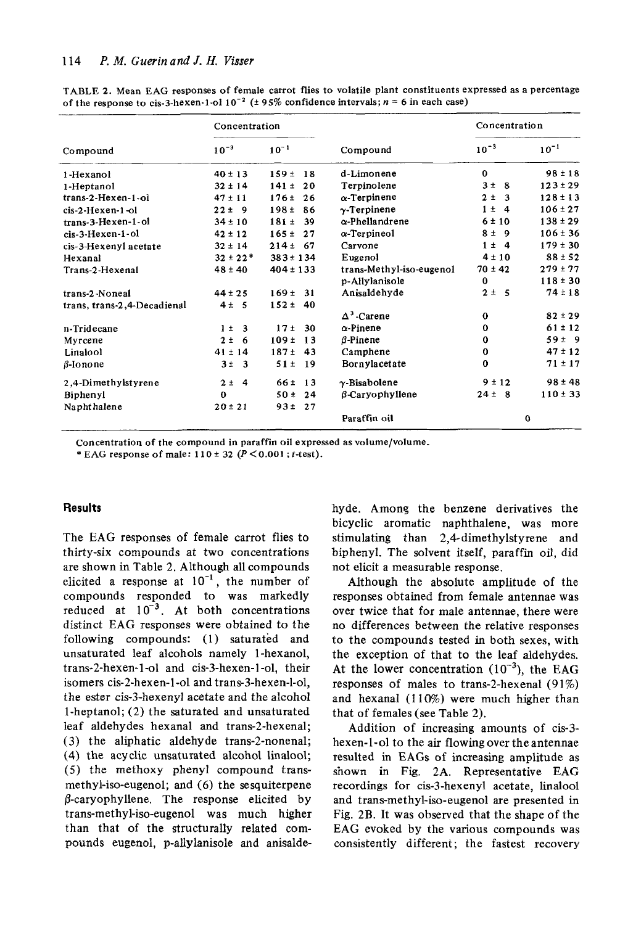|                             | Concentration |                         |                          | Concentration        |              |
|-----------------------------|---------------|-------------------------|--------------------------|----------------------|--------------|
| Compound                    | $10^{-3}$     | $10^{-1}$               | Compound                 | $10^{-3}$            | $10^{-1}$    |
| 1-Hexanol                   | $40 \pm 13$   | 159±<br>18              | d-Limonene               | $\bf{0}$             | $98 \pm 18$  |
| 1-Heptanol                  | $32 \pm 14$   | $141 \pm$<br>20         | Terpinolene              | 3 <sup>±</sup><br>-8 | $123 \pm 29$ |
| trans-2-Hexen-1-ol          | $47 \pm 11$   | 176t<br>26              | $\alpha$ -Terpinene      | $2 \pm$<br>3         | $128 \pm 13$ |
| cis-2-Hexen-1-ol            | $22 \pm 9$    | 198±<br>86              | $\gamma$ -Terpinene      | $1 \pm 4$            | $106 \pm 27$ |
| $trans-3-Hexen-1-ol$        | $34 \pm 10$   | 181±<br>39              | $\alpha$ -Phellandrene   | 6 ± 10               | $138 \pm 29$ |
| cis-3-Hexen-1-ol            | $42 \pm 12$   | 165±<br>27              | $\alpha$ -Terpineol      | 8 ± 9                | $106 \pm 36$ |
| cis-3-Hexenyl acetate       | $32 \pm 14$   | 214±<br>-67             | Carvone                  | $1 \pm 4$            | $179 \pm 30$ |
| Hexanal                     | $32 \pm 22$ * | $383 \pm 134$           | Eugenol                  | $4 \pm 10$           | $88 \pm 52$  |
| Trans-2-Hexenal             | $48 \pm 40$   | $404 \pm 133$           | trans-Methyl-iso-eugenol | $70 \pm 42$          | $279 \pm 77$ |
|                             |               |                         | p-Allylanisole           | $\bf{0}$             | $118 \pm 30$ |
| trans-2-Noneal              | $44 \pm 25$   | 169±<br>- 31            | Anisaldehyde             | $2 \pm 5$            | $74 \pm 18$  |
| trans, trans-2,4-Decadienal | $4 \pm 5$     | $152 \pm$<br>-40        |                          |                      |              |
|                             |               |                         | $\Delta^3$ -Carene       | $\bf{0}$             | $82 \pm 29$  |
| n-Tridecane                 | $1 \pm 3$     | - 30<br>17 <sub>±</sub> | $\alpha$ -Pinene         | $\Omega$             | $61 \pm 12$  |
| Myrcene                     | $2 \pm 6$     | 109±<br>-13             | $\beta$ -Pinene          | 0                    | $59 \pm 9$   |
| Linalool                    | $41 \pm 14$   | 187±<br>-43             | Camphene                 | $\bf{0}$             | $47 \pm 12$  |
| $\beta$ -Ionone             | $3\pm$ 3      | $51 \pm$<br>-19         | Bornylacetate            | $\bf{0}$             | $71 \pm 17$  |
| 2,4-Dimethylstyrene         | $2 \pm 4$     | 66 <sub>z</sub><br>-13  | $\gamma$ -Bisabolene     | 9±12                 | $98 \pm 48$  |
| Biphenyl                    | $\bf{0}$      | 50±<br>24               | $\beta$ -Caryophyllene   | $24 \pm 8$           | $110 \pm 33$ |
| Naphthalene                 | $20 \pm 21$   | 93±<br>-27              |                          |                      |              |
|                             |               |                         | Paraffin oil             |                      | $\Omega$     |

TABLE 2. Mean EAG responses of female carrot flies to volatile plant constituents expressed as a percentage of the response to cis-3-hexen-1-ol  $10^{-2}$  ( $\pm$  95% confidence intervals;  $n = 6$  in each case)

Concentration of the compound in paraffin oil expressed as volume/volume.

\* EAG response of male:  $110 \pm 32$  ( $P < 0.001$ ; t-test).

# **Results**

The EAG responses of female carrot flies to thirty-six compounds at two concentrations are shown in Table 2. Although all compounds elicited a response at  $10^{-1}$ , the number of compounds responded to was markedly reduced at  $10^{-3}$ . At both concentrations distinct EAG responses were obtained to the following compounds: (1) saturated and unsaturated leaf alcohols namely 1-hexanol, trans-2-hexen-1-ol and cis-3-hexen-1-ol, their isomers cis-2-hexen-1-ol and trans-3-hexen-l-ol, the ester cis-3-hexenyl acetate and the alcohol 1-heptanol; (2) the saturated and unsaturated leaf aldehydes hexanal and trans-2-hexenal; (3) the aliphatic aldehyde trans-2-nonenal; (4) the acyclic unsaturated alcohol linalool; (5) the methoxy phenyl compound transmethyl-iso-eugenol; and (6) the sesquiterpene  $\beta$ -caryophyllene. The response elicited by trans-methyl-iso-eugenol was much higher than that of the structurally related compounds eugenol, p-allylanisole and anisaldehyde. Among the benzene derivatives the bicyclic aromatic naphthalene, was more stimulating than 2,4-dimethylstyrene and biphenyl. The solvent itself, paraffin oil, did not elicit a measurable response.

Although the absolute amplitude of the responses obtained from female antennae was over twice that for male antennae, there were no differences between the relative responses to the compounds tested in both sexes, with the exception of that to the leaf aldehydes. At the lower concentration  $(10^{-3})$ , the EAG responses of males to trans-2-hexenal (91%) and hexanal  $(110\%)$  were much higher than that of females (see Table 2).

Addition of increasing amounts of cis-3hexen-1-ol to the air flowing over the antennae resulted in EAGs of increasing amplitude as shown in Fig. 2A. Representative EAG recordings for cis-3-hexenyl acetate, linalool and trans-methyl-iso-eugenol are presented in Fig. 2B. It was observed that the shape of the EAG evoked by the various compounds was consistently different; the fastest recovery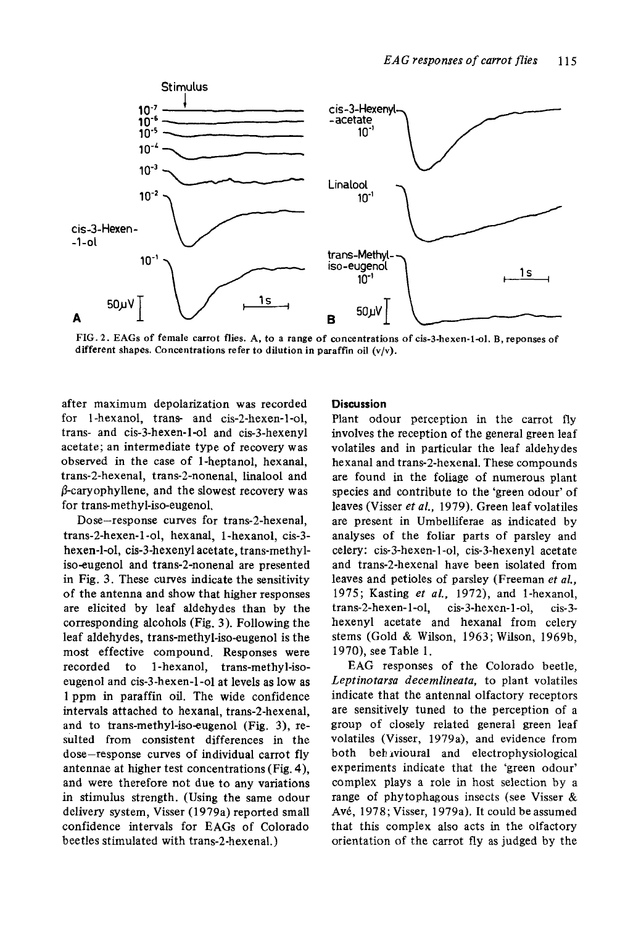

**FIG. 2. EAGs of female carrot flies. A, to a range of concentrations of cis-3-hexen-1-01, B, reponses of different shapes. Concentrations refer to dilution in paraffin oil (v/v).** 

after maximum depolarization was recorded for 1 -hexanol, trans and cis-2-hexen-1-01, trans- and cis-3-hexen-1-01 and cis-3-hexenyl acetate; an intermediate type of recovery was observed in the case of 1-heptanol, hexanal, trans-2-hexenal, trans-2-nonenal, linalool and  $\beta$ -caryophyllene, and the slowest recovery was for trans-methyl-iso-eugenol,

Dose-response curves for trans-2-hexenal, trans-2-hexen-1 -01, hexanal, 1-hexanol, cis-3 hexen-1-01, cis-3-hexenyl acetate, trans-methyliso-eugenol and trans-2-nonenal are presented in Fig. 3. These curves indicate the sensitivity of the antenna and show that higher responses are elicited by leaf aldehydes than by the corresponding alcohols (Fig. **3).** Following the leaf aldehydes, trans-methyl-iso-eugenol is the most effective compound. Responses were recorded to 1 -hexanol, trans-methyl-isoeugenol and cis-3-hexen-1 -01 at levels as low as 1 ppm in paraffin oil. The wide confidence intervals attached to hexanal, trans-2-hexenal, and to trans-methyl-iso-eugenol (Fig, 3), resulted from consistent differences in the dose-response curves of individual carrot fly antennae at higher test concentrations (Fig. **4),**  and were therefore not due to any variations in stimulus strength. (Using the same odour delivery system, Visser (1979a) reported small confidence intervals for **EAGs** of Colorado beetles stimulated with trans-2-hexenal.)

## **Discussion**

Plant odour perception in the carrot fly involves the reception of the general green leaf volatiles and in particular the leaf aldehydes hexanal and trans-2-hexenal. These compounds are found in the foliage of numerous plant species and contribute to the 'green odour' of leaves (Visser *et al.,* 1979). Green leaf volatiles are present in Umbelliferae as indicated by analyses of the foliar parts of parsley and celery: cis-3-hexen- **1-01,** cis-3-hexenyl acetate and trans-2-hexenal have been isolated from leaves and petioles of parsley (Freeman *et d.,*  1975; Kasting *et aL,* 1972), and I-hexanol, trans-2-hexen-1-01, cis-3-hexen-1-01, cis-3 hexenyl acetate and hexanal from celery stems (Gold & Wilson, 1963; Wilson, 1969b, 1970), see Table 1.

**EAG** responses of the Colorado beetle, *Leptinotarsa decemlineata,* to plant volatiles indicate that the antenna1 olfactory receptors are sensitively tuned to the perception of a group of closely related general green leaf volatiles (Visser, 1979a), and evidence from both beh ivioural and electrophysiological experiments indicate that the 'green odour' complex plays a role in host selection by a range of phytophagous insects (see Visser & Avé, 1978; Visser, 1979a). It could be assumed that this complex also acts in the olfactory orientation of the carrot fly as judged by the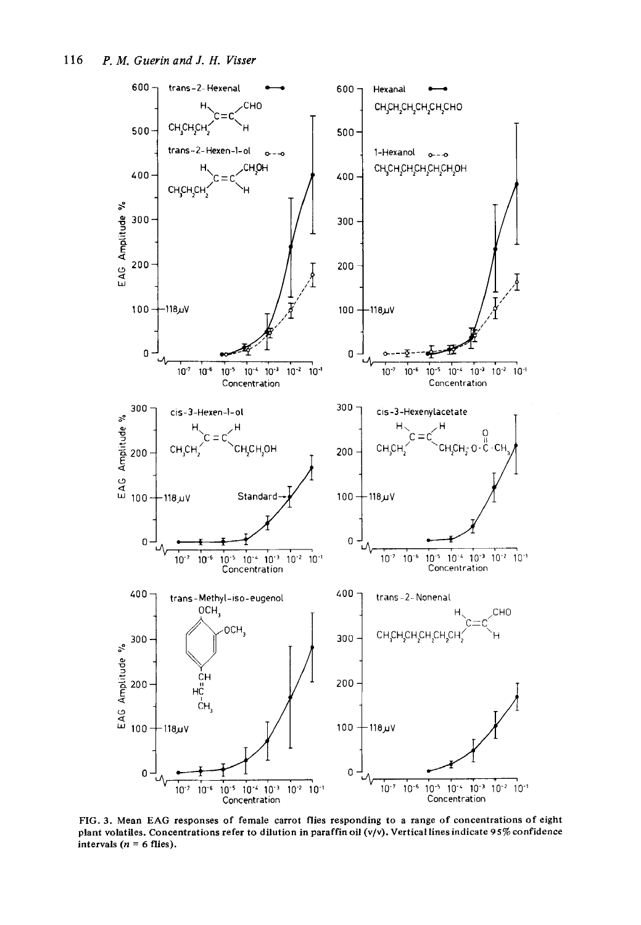

FIG. 3. Mean EAG responses of female carrot flies responding to a range of concentrations of eight plant volatiles. Concentrations refer to dilution in paraffin oil (v/v). Vertical lines indicate 95% confidence intervals ( $n = 6$  flies).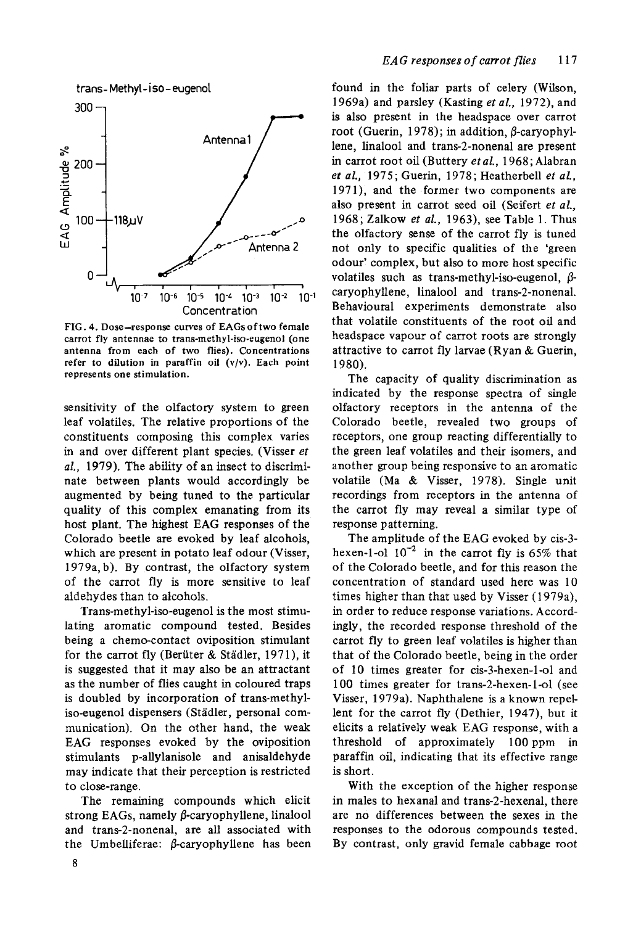

**FIG. 4. Dose-response curves of EAGsoftwo female carrot fly antennae** *to* **trans-methyl-iso-eugenof** (one **antenna from each of two flies). Concentrations refer to dilution in paraffin oil (v/v). Each point represents one stimulation.** 

sensitivity of the olfactory system to green leaf volatiles. The relative proportions of the constituents composing this complex varies in and over different plant species, (Visser *et d.,* 1979). The ability of an insect to discriminate between plants would accordingly be augmented by being tuned to the particular quality of this complex emanating from its host plant. The highest EAG responses of the Colorado beetle are evoked by leaf alcohols, which are present in potato leaf odour (Visser, 1979a, b). By contrast, the olfactory system of the carrot fly is more sensitive to leaf aldehydes than to alcohols.

Trans-methyl-iso-eugenol is the most stimulating aromatic compound tested. Besides being a chemo-contact oviposition stimulant for the carrot fly (Beriiter & Stadler, 1971), it is suggested that it may also be an attractant as the number of flies caught in coloured traps is doubled by incorporation of trans-methyliso-eugenol dispensers (Städler, personal communication), On the other hand, the weak EAG responses evoked by the oviposition stimulants p-allylanisole and anisaldehyde may indicate that their perception is restricted to close-range.

The remaining compounds which elicit strong EAGs, namely  $\beta$ -caryophyllene, linalool and trans-2-nonena1, are all associated with the Umbelliferae:  $\beta$ -caryophyllene has been found in the foliar parts of celery (Wilson, 1969a) and parsley (Kasting et al., 1972), and is also present in the headspace over carrot root (Guerin, 1978); in addition,  $\beta$ -caryophyllene, linalool and trans-2-nonenal are present in carrot root oil (Buttery *etal.,* 1968;Alabran *et d.,* 1975; Guerin, 1978; Heatherbell *et al.,*  1971), and the former two components are also present in carrot seed oil (Seifert *et aL,*  1968; Zalkow *et al.,* 1963), see Table 1. Thus the olfactory sense of the carrot fly is tuned not only to specific qualities of the 'green odour' complex, but also to more host specific volatiles such as trans-methyl-iso-eugenol, *P*caryophyllene, linalool and trans-2-nonenal. Behavioural experiments demonstrate also that volatile constituents of the root oil and headspace vapour of carrot roots are strongly attractive to carrot fly larvae (Ryan & Guerin, 1980).

The capacity of quality discrimination as indicated by the response spectra of single olfactory receptors in the antenna of the Colorado beetle, revealed two groups of receptors, one group reacting differentially to the green leaf volatiles and their isomers, and another group being responsive to an aromatic volatile (Ma & Visser, 1978). Single unit recordings from receptors in the antenna of the carrot fly may reveal a similar type of response patterning.

The amplitude of the EAG evoked by cis-3 hexen-1-ol  $10^{-2}$  in the carrot fly is 65% that of the Colorado beetle, and for this reason the concentration of standard used here was 10 times higher than that used by Visser (1979a), in order to reduce response variations. Accordingly, the recorded response threshold of the carrot fly to green leaf volatiles is higher than that of the Colorado beetle, being in the order of 10 times greater for cis-3-hexen-1-01 and 100 times greater for trans-2-hexen-1-01 (see Visser, 1979a). Naphthalene is a known repellent for the carrot fly (Dethier, 1947), but it elicits a relatively weak EAG response, with a threshold of approximately 100 ppm in paraffin oil, indicating that its effective range is short.

With the exception of the higher response in males to hexanal and trans-2-hexenal, there are no differences between the sexes in the responses to the odorous compounds tested. By contrast, only gravid female cabbage root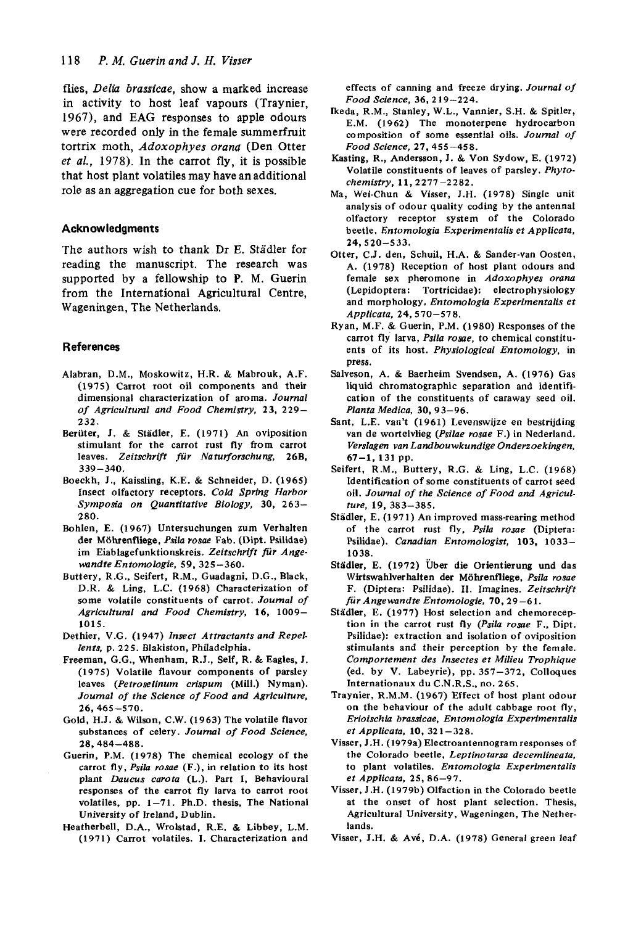flies, *Delia brassicae,* show a marked increase in activity to host leaf vapours (Traynier, 1967), and EAG responses to apple odours were recorded only in the female summerfruit tortrix moth, *Adoxophyes orana* (Den Otter *et al.,* 1978). In the carrot fly, it is possible that host plant volatiles may have an additional role as an aggregation cue for both sexes.

#### **Acknowledgments**

The authors wish to thank Dr **E.** Stadler for reading the manuscript. The research was supported by a fellowship to **P. M.** Guerin from the International Agricultural Centre, Wageningen, The Netherlands.

### **References**

- Alabran, D.M., Moskowitz, H.R. & Mabrouk, A.F. **(1975)** Carrot root oil components and their dimensional characterization of aroma. *Journal of Agricultuml and Food Chemistry,* **23, 229- 232.**
- Beriiter, J. & Stadler, E. **(1971)** *An* oviposition stimulant for the carrot rust fly from carrot leaves. *Zeitschrift fur Natuvforschung,* **26B, 339-340.**
- Boeckh, **J.,** Kaissling, K.E. & Schneider, D. **(1965)**  Insect olfactory receptors. *Cold Spring Harbor Symposia on Quantitative Biology,* **30, 263- 280.**
- Bohlen, E. **(1 967)** Untersuchungen zum Verhalten der M6luenfliege, *Psila rosae* Fab. (Dipt. Psilidae) im Eiablagefunktionskreis. *Zeitschrift fur Angewandte Entomologie,* **59, 325-360.**
- Buttery, R.G., Seifert, R.M., Guadagni, D.G., Black, D.R. & Ling, L.C. **(1968)** Characterization of some volatile constituents of carrot. *Journal of Agricultural and Food Chemistry,* **16, 1009- 1015.**
- Dethier, V.G. **(1947)** *Insect Attractants and Repellents.* p. **225.** Blakiston, Philadelphia.
- Freeman, G.G., Whenham, R.J., Self, R. & Eagles, J. **(1975)** Volatile flavour components of parsley leaves *(Petroselinum crispum* (Mill.) Nyman). *Journal of the Science of Food and Agriculture,*  **26,465-570.**
- Gold, H.J. & Wilson, C.W. **(1963)** The volatile flavor substances of celery. *Journal of Food Science,*  **28,484-488.**
- Guerin, P.M. **(1978)** The chemical ecology of the carrot fly, *Psila rosae* (F.), in relation to its host plant *Daucus carora* **(L.).** Part I, Behavioural responses of the carrot fly larva to carrot root volatiles, pp. **1-71.** Ph.D. thesis, The National University of Ireland, Dublin.
- Heatherbell, D.A., Wrolstad, R.E. & Libbey, L.M. **(1971)** Carrot volatiles. I. Characterization and

effects of canning and freeze drying. *Journal of Food Science,* **36,2 19-224.** 

- Ikeda, R.M., Stanley, W.L., Vannier, S.H. & Spitler, E.M. **(1962)** The monoterpene hydrocarbon composition of some essential oils. *Journal of Food Science,* **21,455-458.**
- Kasting, **R.,** Andersson, J. & **Von** Sydow, E. **(1972)**  Volatile constituents of leaves of parsley. *Phytochemistry,* **11,2277-2282.**
- Ma, Wei-Chun & Visser, J.H. **(1978)** Single unit analysis of odour quality coding by the antenna1 olfactory receptor system of the Colorado beetle. *Entomologia Experimentalis et Applicata,*  **24,520-533.**
- Otter, C.J. den, Schuil, H.A. & Sander-van Oosten, A. **(1978)** Reception of host plant odours and female sex pheromone in *Adoxophyes orana*  (Lepidoptera: Tortricidae): electrophysiology and morphology. *Entomologda Experimentalis et Applicata.* **24,s 70-57 8.**
- Ryan, M.F. & Guerin, **P.M. (1980)** Responses of the carrot fly larva, *Psila rosae,* to chemical constituents of its host. *Physiological Entomology,* in press.
- Salveson, A. & Baerheim Svendsen, A. **(1976)** Gas liquid chromatographic separation and identification of the constituents of caraway seed oil. *Planta Medica,* **30, 93-96.**
- Sant, L.E. van't (1961) Levenswijze en bestrijding van de wortelvlieg *(Psilae rosae* F.) in Nederland. *Verslagen van Landbouwkundige Onderzoekingen,*  **67-1, 131** pp.
- Seifert, R.M., Buttery, R.G. & Ling, L.C. **(1968)**  Identification of some constituents of carrot seed oil. *Journal of the Science of Food and Agriculture,* **19, 383-385.**
- Stadler, E. **(1971)** An improved mass-rearing method of the carrot rust fly, *Psiia rome* (Diptera: Psilidae). *Canadian Entomologist,* **103, 1033- 1038.**
- Städler, E. (1972) Über die Orientierung und das Wirtswahlverhalten der Mohrenfliege, *Psila rosae*  F. (Diptera: Psilidae). *11.* Imagines. *Zeitschrift furAngewandte Entomologie,* **70, 29-61.**
- Städler, E. (1977) Host selection and chemoreception in the carrot rust fly *(Psila rome* F., Dipt. Psilidae): extraction and isolation of oviposition stimulants and their perception by the female. *Comportement des Insectes et Milieu Trophique*  (ed. by V. Labeyrie), pp. **357-372,** Colloques Internationaux du C.N.R.S., no. **265.**
- Traynier, R.M.M. **(1967)** Effect of host plant odour on the behaviour of the adult cabbage root fly, *Erioischia brassicae. Entomologia Experimentalis et Applicata,* **10, 32 1** - **32 8.**
- Visser, J.H. **(1979a)** Electroantennogram responses of the Colorado beetle, *Leptinotarsa decemlineata,*  to plant volatiles. *Entomologia Experimentalis et Applicata,* **25, 86-97.**
- Visser, J.H. **(1979b)** Olfaction in the Colorado beetle at the onset of host plant selection. Thesis, Agricultural University, Wageningen, The Netherlands.
- Visser, J.H. & Av6, D.A. **(1978)** General green leaf